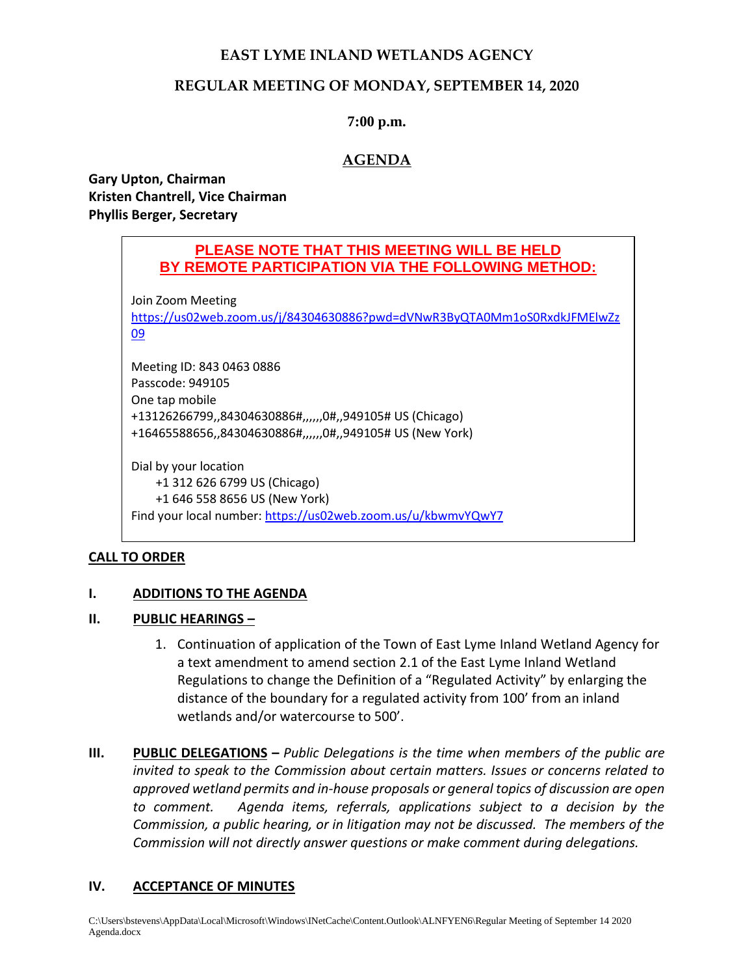# **EAST LYME INLAND WETLANDS AGENCY**

## **REGULAR MEETING OF MONDAY, SEPTEMBER 14, 2020**

### **7:00 p.m.**

# **AGENDA**

**Gary Upton, Chairman Kristen Chantrell, Vice Chairman Phyllis Berger, Secretary**

# **PLEASE NOTE THAT THIS MEETING WILL BE HELD BY REMOTE PARTICIPATION VIA THE FOLLOWING METHOD:**

Join Zoom Meeting

[https://us02web.zoom.us/j/84304630886?pwd=dVNwR3ByQTA0Mm1oS0RxdkJFMElwZz](https://us02web.zoom.us/j/84304630886?pwd=dVNwR3ByQTA0Mm1oS0RxdkJFMElwZz09) [09](https://us02web.zoom.us/j/84304630886?pwd=dVNwR3ByQTA0Mm1oS0RxdkJFMElwZz09)

Meeting ID: 843 0463 0886 Passcode: 949105 One tap mobile +13126266799,,84304630886#,,,,,,0#,,949105# US (Chicago) +16465588656,,84304630886#,,,,,,0#,,949105# US (New York)

Dial by your location +1 312 626 6799 US (Chicago) +1 646 558 8656 US (New York) Find your local number:<https://us02web.zoom.us/u/kbwmvYQwY7>

## **CALL TO ORDER**

#### **I. ADDITIONS TO THE AGENDA**

#### **II. PUBLIC HEARINGS –**

- 1. Continuation of application of the Town of East Lyme Inland Wetland Agency for a text amendment to amend section 2.1 of the East Lyme Inland Wetland Regulations to change the Definition of a "Regulated Activity" by enlarging the distance of the boundary for a regulated activity from 100' from an inland wetlands and/or watercourse to 500'.
- **III. PUBLIC DELEGATIONS –** *Public Delegations is the time when members of the public are invited to speak to the Commission about certain matters. Issues or concerns related to approved wetland permits and in-house proposals or general topics of discussion are open to comment. Agenda items, referrals, applications subject to a decision by the Commission, a public hearing, or in litigation may not be discussed. The members of the Commission will not directly answer questions or make comment during delegations.*

#### **IV. ACCEPTANCE OF MINUTES**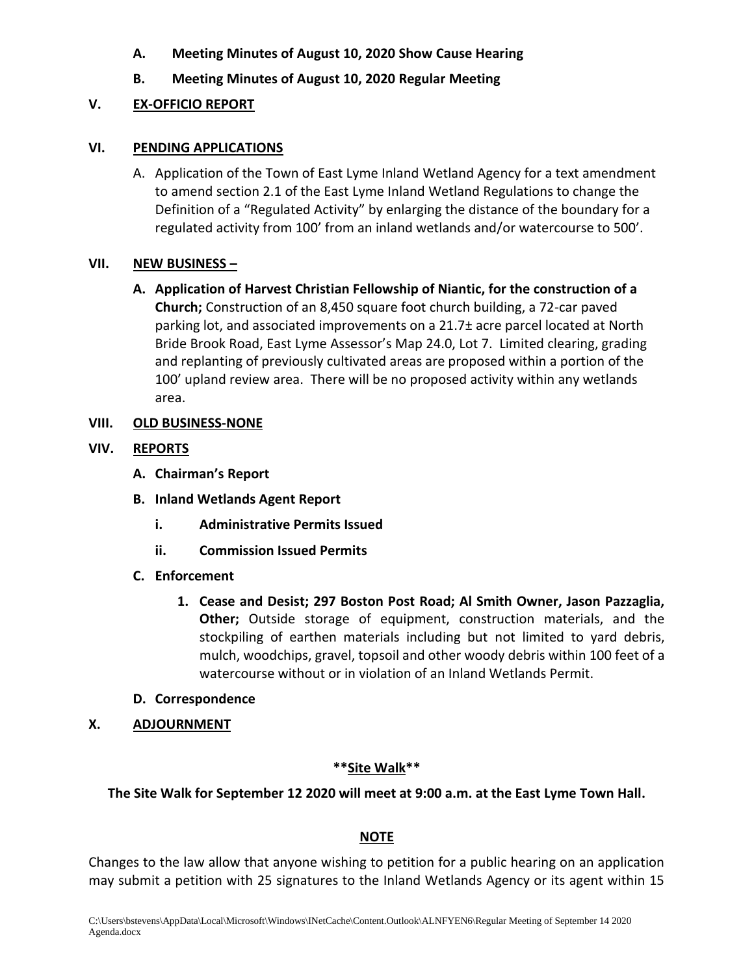- **A. Meeting Minutes of August 10, 2020 Show Cause Hearing**
- **B. Meeting Minutes of August 10, 2020 Regular Meeting**

# **V. EX-OFFICIO REPORT**

### **VI. PENDING APPLICATIONS**

A. Application of the Town of East Lyme Inland Wetland Agency for a text amendment to amend section 2.1 of the East Lyme Inland Wetland Regulations to change the Definition of a "Regulated Activity" by enlarging the distance of the boundary for a regulated activity from 100' from an inland wetlands and/or watercourse to 500'.

### **VII. NEW BUSINESS –**

**A. Application of Harvest Christian Fellowship of Niantic, for the construction of a Church;** Construction of an 8,450 square foot church building, a 72-car paved parking lot, and associated improvements on a 21.7± acre parcel located at North Bride Brook Road, East Lyme Assessor's Map 24.0, Lot 7. Limited clearing, grading and replanting of previously cultivated areas are proposed within a portion of the 100' upland review area. There will be no proposed activity within any wetlands area.

### **VIII. OLD BUSINESS-NONE**

### **VIV. REPORTS**

- **A. Chairman's Report**
- **B. Inland Wetlands Agent Report**
	- **i. Administrative Permits Issued**
	- **ii. Commission Issued Permits**
- **C. Enforcement**
	- **1. Cease and Desist; 297 Boston Post Road; Al Smith Owner, Jason Pazzaglia, Other;** Outside storage of equipment, construction materials, and the stockpiling of earthen materials including but not limited to yard debris, mulch, woodchips, gravel, topsoil and other woody debris within 100 feet of a watercourse without or in violation of an Inland Wetlands Permit.
- **D. Correspondence**
- **X. ADJOURNMENT**

## **\*\*Site Walk\*\***

## **The Site Walk for September 12 2020 will meet at 9:00 a.m. at the East Lyme Town Hall.**

# **NOTE**

Changes to the law allow that anyone wishing to petition for a public hearing on an application may submit a petition with 25 signatures to the Inland Wetlands Agency or its agent within 15